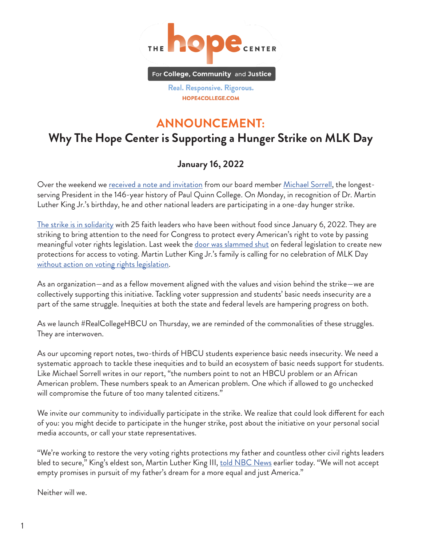

Real. Responsive. Rigorous. HOPE4COLLEGE.COM

## **ANNOUNCEMENT:**

## **Why The Hope Center is Supporting a Hunger Strike on MLK Day**

## **January 16, 2022**

Over the weekend we <u>[received a note and invitation](https://twitter.com/michaelsorrell/status/1482736650153308161?s=20)</u> from our board member <u>Michael Sorrell</u>, the longestserving President in the 146-year history of Paul Quinn College. On Monday, in recognition of Dr. Martin Luther King Jr.'s birthday, he and other national leaders are participating in a one-day hunger strike.

[The strike is in solidarity](https://abcnews.go.com/Politics/advocates-launch-hunger-strikes-hold-events-us-push/story?id=82266112) with 25 faith leaders who have been without food since January 6, 2022. They are striking to bring attention to the need for Congress to protect every American's right to vote by passing meaningful voter rights legislation. Last week the [door was slammed shut](https://www.nytimes.com/2022/01/15/us/politics/voting-rights-democrats.html) on federal legislation to create new protections for access to voting. Martin Luther King Jr.'s family is calling for no celebration of MLK Day [without action on voting rights legislation.](https://www.nbcnews.com/news/nbcblk/martin-luther-king-iii-wants-no-empty-promises-comes-voting-rights-rcna12306)

As an organization—and as a fellow movement aligned with the values and vision behind the strike—we are collectively supporting this initiative. Tackling voter suppression and students' basic needs insecurity are a part of the same struggle. Inequities at both the state and federal levels are hampering progress on both.

As we launch #RealCollegeHBCU on Thursday, we are reminded of the commonalities of these struggles. They are interwoven.

As our upcoming report notes, two-thirds of HBCU students experience basic needs insecurity. We need a systematic approach to tackle these inequities and to build an ecosystem of basic needs support for students. Like Michael Sorrell writes in our report, "the numbers point to not an HBCU problem or an African American problem. These numbers speak to an American problem. One which if allowed to go unchecked will compromise the future of too many talented citizens."

We invite our community to individually participate in the strike. We realize that could look different for each of you: you might decide to participate in the hunger strike, post about the initiative on your personal social media accounts, or call your state representatives.

"We're working to restore the very voting rights protections my father and countless other civil rights leaders bled to secure," King's eldest son, Martin Luther King III, <u>told NBC News</u> earlier today. "We will not accept empty promises in pursuit of my father's dream for a more equal and just America."

Neither will we.